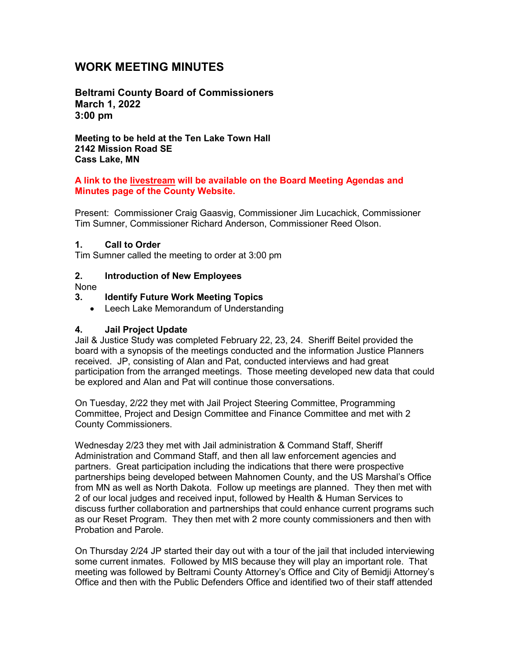# **WORK MEETING MINUTES**

**Beltrami County Board of Commissioners March 1, 2022 3:00 pm**

**Meeting to be held at the Ten Lake Town Hall 2142 Mission Road SE Cass Lake, MN**

### **A link to the livestream will be available on the Board Meeting Agendas and Minutes page of the County Website.**

Present: Commissioner Craig Gaasvig, Commissioner Jim Lucachick, Commissioner Tim Sumner, Commissioner Richard Anderson, Commissioner Reed Olson.

### **1. Call to Order**

Tim Sumner called the meeting to order at 3:00 pm

# **2. Introduction of New Employees**

None

- **3. Identify Future Work Meeting Topics**
	- Leech Lake Memorandum of Understanding

#### **4. Jail Project Update**

Jail & Justice Study was completed February 22, 23, 24. Sheriff Beitel provided the board with a synopsis of the meetings conducted and the information Justice Planners received. JP, consisting of Alan and Pat, conducted interviews and had great participation from the arranged meetings. Those meeting developed new data that could be explored and Alan and Pat will continue those conversations.

On Tuesday, 2/22 they met with Jail Project Steering Committee, Programming Committee, Project and Design Committee and Finance Committee and met with 2 County Commissioners.

Wednesday 2/23 they met with Jail administration & Command Staff, Sheriff Administration and Command Staff, and then all law enforcement agencies and partners. Great participation including the indications that there were prospective partnerships being developed between Mahnomen County, and the US Marshal's Office from MN as well as North Dakota. Follow up meetings are planned. They then met with 2 of our local judges and received input, followed by Health & Human Services to discuss further collaboration and partnerships that could enhance current programs such as our Reset Program. They then met with 2 more county commissioners and then with Probation and Parole.

On Thursday 2/24 JP started their day out with a tour of the jail that included interviewing some current inmates. Followed by MIS because they will play an important role. That meeting was followed by Beltrami County Attorney's Office and City of Bemidji Attorney's Office and then with the Public Defenders Office and identified two of their staff attended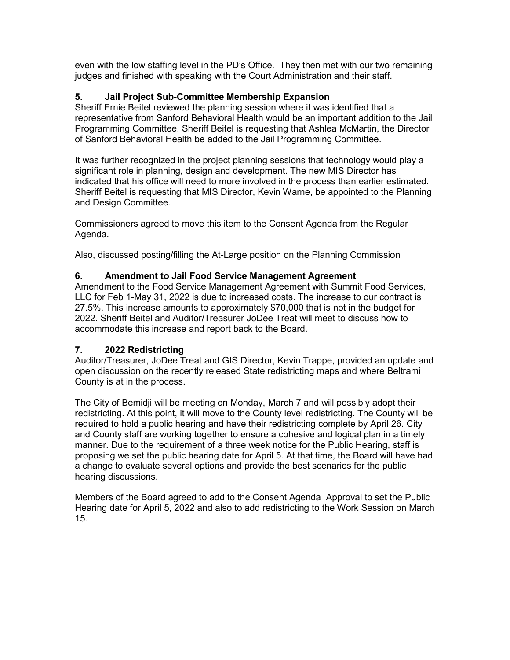even with the low staffing level in the PD's Office. They then met with our two remaining judges and finished with speaking with the Court Administration and their staff.

# **5. Jail Project Sub-Committee Membership Expansion**

Sheriff Ernie Beitel reviewed the planning session where it was identified that a representative from Sanford Behavioral Health would be an important addition to the Jail Programming Committee. Sheriff Beitel is requesting that Ashlea McMartin, the Director of Sanford Behavioral Health be added to the Jail Programming Committee.

It was further recognized in the project planning sessions that technology would play a significant role in planning, design and development. The new MIS Director has indicated that his office will need to more involved in the process than earlier estimated. Sheriff Beitel is requesting that MIS Director, Kevin Warne, be appointed to the Planning and Design Committee.

Commissioners agreed to move this item to the Consent Agenda from the Regular Agenda.

Also, discussed posting/filling the At-Large position on the Planning Commission

# **6. Amendment to Jail Food Service Management Agreement**

Amendment to the Food Service Management Agreement with Summit Food Services, LLC for Feb 1-May 31, 2022 is due to increased costs. The increase to our contract is 27.5%. This increase amounts to approximately \$70,000 that is not in the budget for 2022. Sheriff Beitel and Auditor/Treasurer JoDee Treat will meet to discuss how to accommodate this increase and report back to the Board.

# **7. 2022 Redistricting**

Auditor/Treasurer, JoDee Treat and GIS Director, Kevin Trappe, provided an update and open discussion on the recently released State redistricting maps and where Beltrami County is at in the process.

The City of Bemidji will be meeting on Monday, March 7 and will possibly adopt their redistricting. At this point, it will move to the County level redistricting. The County will be required to hold a public hearing and have their redistricting complete by April 26. City and County staff are working together to ensure a cohesive and logical plan in a timely manner. Due to the requirement of a three week notice for the Public Hearing, staff is proposing we set the public hearing date for April 5. At that time, the Board will have had a change to evaluate several options and provide the best scenarios for the public hearing discussions.

Members of the Board agreed to add to the Consent Agenda Approval to set the Public Hearing date for April 5, 2022 and also to add redistricting to the Work Session on March 15.